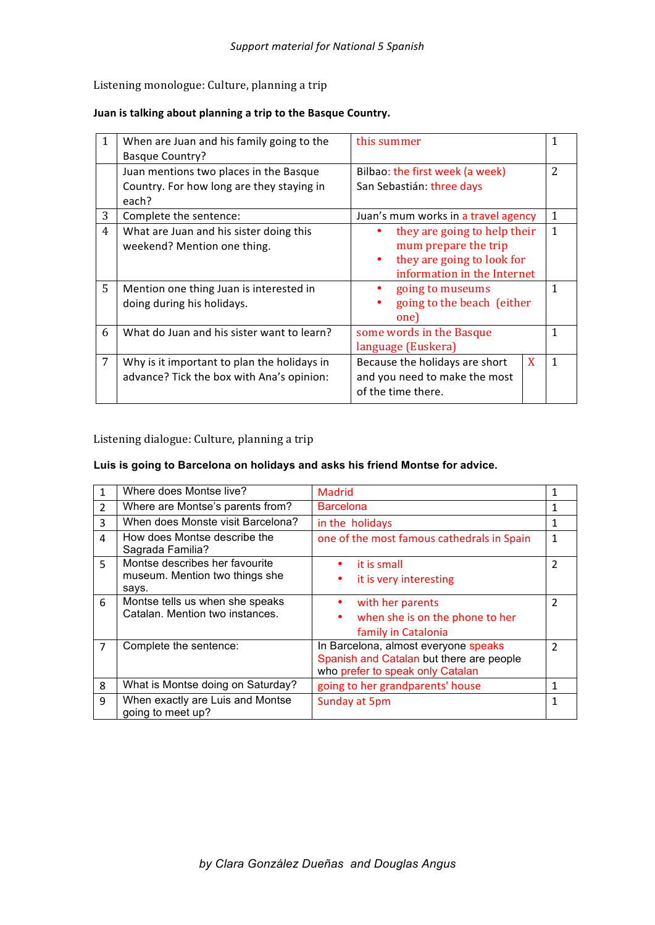## Listening monologue: Culture, planning a trip

## Juan is talking about planning a trip to the Basque Country.

|   | When are Juan and his family going to the   | this summer                         |                |
|---|---------------------------------------------|-------------------------------------|----------------|
|   | <b>Basque Country?</b>                      |                                     |                |
|   | Juan mentions two places in the Basque      | Bilbao: the first week (a week)     | $\overline{2}$ |
|   | Country. For how long are they staying in   | San Sebastián: three days           |                |
|   | each?                                       |                                     |                |
| 3 | Complete the sentence:                      | Juan's mum works in a travel agency | 1              |
| 4 | What are Juan and his sister doing this     | they are going to help their        | $\mathbf{1}$   |
|   | weekend? Mention one thing.                 | mum prepare the trip                |                |
|   |                                             | they are going to look for<br>٠     |                |
|   |                                             | information in the Internet         |                |
| 5 | Mention one thing Juan is interested in     | going to museums                    | $\mathbf{1}$   |
|   | doing during his holidays.                  | going to the beach (either          |                |
|   |                                             | one)                                |                |
| 6 | What do Juan and his sister want to learn?  | some words in the Basque            | $\mathbf{1}$   |
|   |                                             | language (Euskera)                  |                |
| 7 | Why is it important to plan the holidays in | X<br>Because the holidays are short | $\overline{1}$ |
|   | advance? Tick the box with Ana's opinion:   | and you need to make the most       |                |
|   |                                             | of the time there.                  |                |
|   |                                             |                                     |                |

Listening dialogue: Culture, planning a trip

## **Luis is going to Barcelona on holidays and asks his friend Montse for advice.**

|                | Where does Montse live?                               | Madrid                                     | 1              |
|----------------|-------------------------------------------------------|--------------------------------------------|----------------|
| $\overline{2}$ | Where are Montse's parents from?                      | <b>Barcelona</b>                           |                |
| 3              | When does Monste visit Barcelona?                     | in the holidays                            | 1              |
| 4              | How does Montse describe the<br>Sagrada Familia?      | one of the most famous cathedrals in Spain | 1              |
| 5              | Montse describes her favourite                        | it is small<br>٠                           | 2              |
|                | museum. Mention two things she                        | it is very interesting<br>٠                |                |
|                | says.                                                 |                                            |                |
| 6              | Montse tells us when she speaks                       | with her parents                           | 2              |
|                | Catalan. Mention two instances.                       | when she is on the phone to her<br>٠       |                |
|                |                                                       | family in Catalonia                        |                |
| $\overline{7}$ | Complete the sentence:                                | In Barcelona, almost everyone speaks       | $\mathfrak{p}$ |
|                |                                                       | Spanish and Catalan but there are people   |                |
|                |                                                       | who prefer to speak only Catalan           |                |
| 8              | What is Montse doing on Saturday?                     | going to her grandparents' house           | 1              |
| 9              | When exactly are Luis and Montse<br>going to meet up? | Sunday at 5pm                              | 1              |